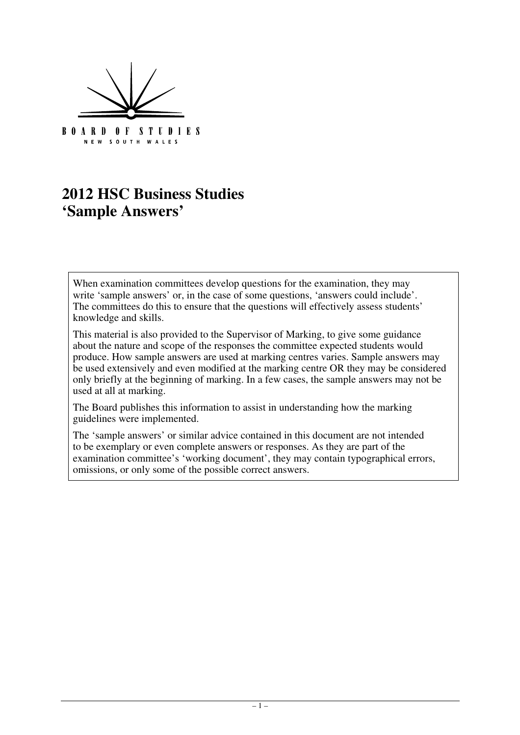

# **2012 HSC Business Studies 'Sample Answers'**

When examination committees develop questions for the examination, they may write 'sample answers' or, in the case of some questions, 'answers could include'. The committees do this to ensure that the questions will effectively assess students' knowledge and skills.

This material is also provided to the Supervisor of Marking, to give some guidance about the nature and scope of the responses the committee expected students would produce. How sample answers are used at marking centres varies. Sample answers may be used extensively and even modified at the marking centre OR they may be considered only briefly at the beginning of marking. In a few cases, the sample answers may not be used at all at marking.

The Board publishes this information to assist in understanding how the marking guidelines were implemented.

The 'sample answers' or similar advice contained in this document are not intended to be exemplary or even complete answers or responses. As they are part of the examination committee's 'working document', they may contain typographical errors, omissions, or only some of the possible correct answers.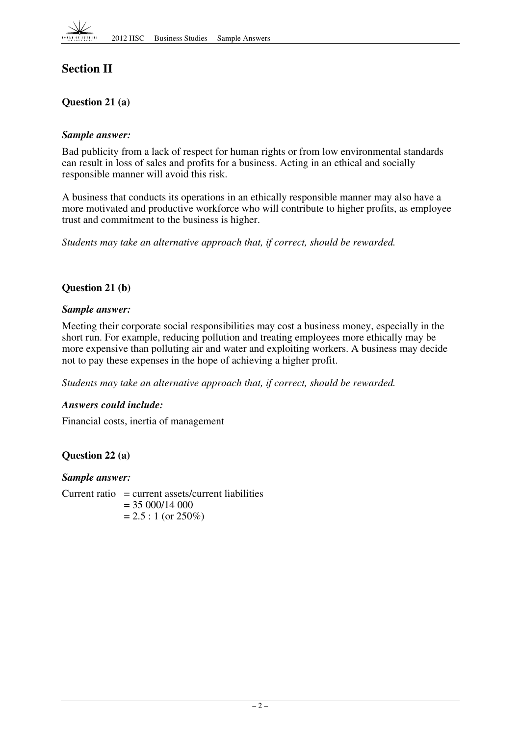

## **Section II**

## **Question 21 (a)**

#### *Sample answer:*

Bad publicity from a lack of respect for human rights or from low environmental standards can result in loss of sales and profits for a business. Acting in an ethical and socially responsible manner will avoid this risk.

A business that conducts its operations in an ethically responsible manner may also have a more motivated and productive workforce who will contribute to higher profits, as employee trust and commitment to the business is higher.

*Students may take an alternative approach that, if correct, should be rewarded.* 

#### **Question 21 (b)**

#### *Sample answer:*

Meeting their corporate social responsibilities may cost a business money, especially in the short run. For example, reducing pollution and treating employees more ethically may be more expensive than polluting air and water and exploiting workers. A business may decide not to pay these expenses in the hope of achieving a higher profit.

*Students may take an alternative approach that, if correct, should be rewarded.* 

#### *Answers could include:*

Financial costs, inertia of management

#### **Question 22 (a)**

*Sample answer:* 

 $Current ratio = current assets/current liabilities$  $= 35000/14000$  $= 2.5 : 1$  (or 250%)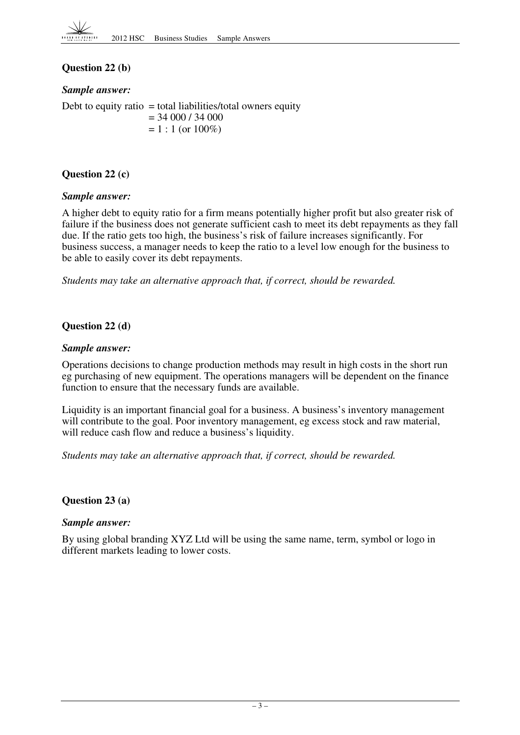## **Question 22 (b)**

#### *Sample answer:*

Debt to equity ratio  $=$  total liabilities/total owners equity  $= 34 000 / 34 000$  $= 1 : 1$  (or  $100\%)$ 

#### **Question 22 (c)**

#### *Sample answer:*

A higher debt to equity ratio for a firm means potentially higher profit but also greater risk of failure if the business does not generate sufficient cash to meet its debt repayments as they fall due. If the ratio gets too high, the business's risk of failure increases significantly. For business success, a manager needs to keep the ratio to a level low enough for the business to be able to easily cover its debt repayments.

*Students may take an alternative approach that, if correct, should be rewarded.* 

#### **Question 22 (d)**

#### *Sample answer:*

Operations decisions to change production methods may result in high costs in the short run eg purchasing of new equipment. The operations managers will be dependent on the finance function to ensure that the necessary funds are available.

Liquidity is an important financial goal for a business. A business's inventory management will contribute to the goal. Poor inventory management, eg excess stock and raw material, will reduce cash flow and reduce a business's liquidity.

*Students may take an alternative approach that, if correct, should be rewarded.* 

#### **Question 23 (a)**

#### *Sample answer:*

By using global branding XYZ Ltd will be using the same name, term, symbol or logo in different markets leading to lower costs.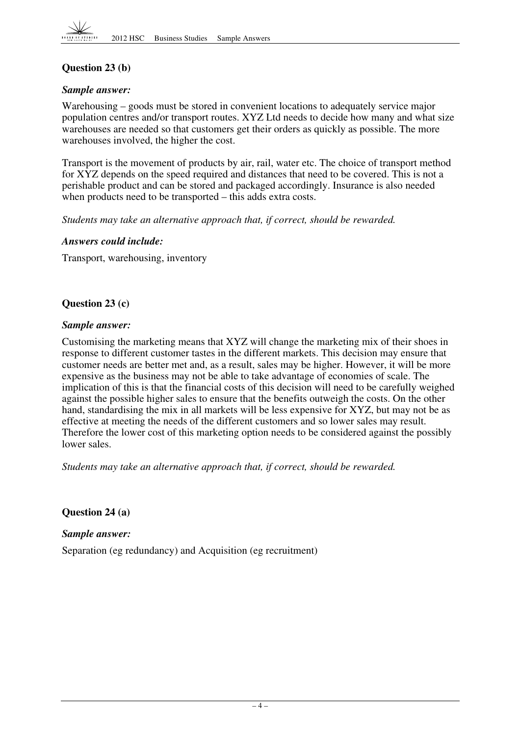

## **Question 23 (b)**

#### *Sample answer:*

Warehousing – goods must be stored in convenient locations to adequately service major population centres and/or transport routes. XYZ Ltd needs to decide how many and what size warehouses are needed so that customers get their orders as quickly as possible. The more warehouses involved, the higher the cost.

Transport is the movement of products by air, rail, water etc. The choice of transport method for XYZ depends on the speed required and distances that need to be covered. This is not a perishable product and can be stored and packaged accordingly. Insurance is also needed when products need to be transported – this adds extra costs.

*Students may take an alternative approach that, if correct, should be rewarded.* 

#### *Answers could include:*

Transport, warehousing, inventory

#### **Question 23 (c)**

#### *Sample answer:*

Customising the marketing means that XYZ will change the marketing mix of their shoes in response to different customer tastes in the different markets. This decision may ensure that customer needs are better met and, as a result, sales may be higher. However, it will be more expensive as the business may not be able to take advantage of economies of scale. The implication of this is that the financial costs of this decision will need to be carefully weighed against the possible higher sales to ensure that the benefits outweigh the costs. On the other hand, standardising the mix in all markets will be less expensive for XYZ, but may not be as effective at meeting the needs of the different customers and so lower sales may result. Therefore the lower cost of this marketing option needs to be considered against the possibly lower sales.

*Students may take an alternative approach that, if correct, should be rewarded.* 

**Question 24 (a)** 

*Sample answer:* 

Separation (eg redundancy) and Acquisition (eg recruitment)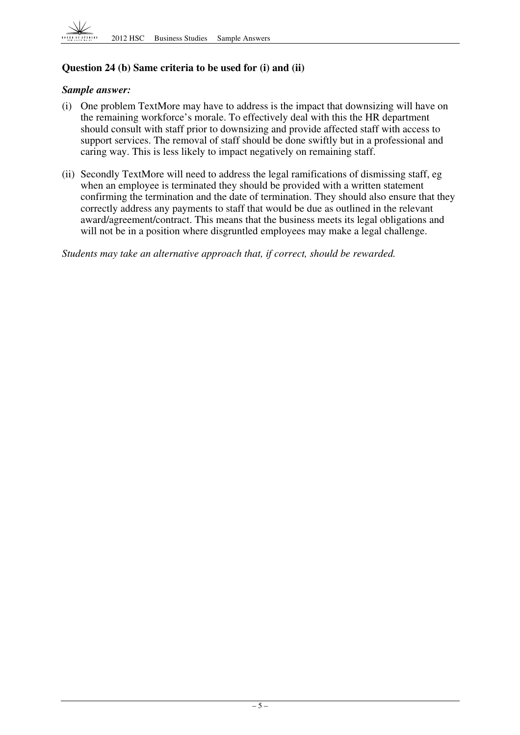

## **Question 24 (b) Same criteria to be used for (i) and (ii)**

#### *Sample answer:*

- (i) One problem TextMore may have to address is the impact that downsizing will have on the remaining workforce's morale. To effectively deal with this the HR department should consult with staff prior to downsizing and provide affected staff with access to support services. The removal of staff should be done swiftly but in a professional and caring way. This is less likely to impact negatively on remaining staff.
- (ii) Secondly TextMore will need to address the legal ramifications of dismissing staff, eg when an employee is terminated they should be provided with a written statement confirming the termination and the date of termination. They should also ensure that they correctly address any payments to staff that would be due as outlined in the relevant award/agreement/contract. This means that the business meets its legal obligations and will not be in a position where disgruntled employees may make a legal challenge.

*Students may take an alternative approach that, if correct, should be rewarded.*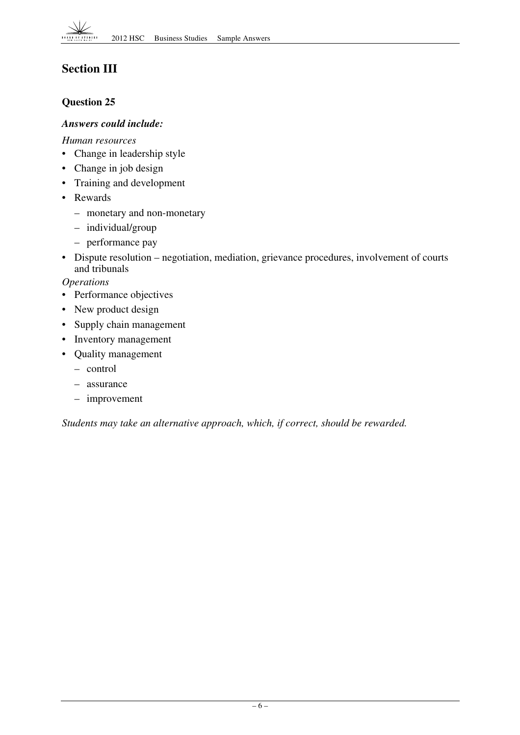## **Section III**

## **Question 25**

### *Answers could include:*

*Human resources* 

- Change in leadership style
- Change in job design
- Training and development
- • Rewards
	- monetary and non-monetary
	- – individual/group
	- performance pay
- Dispute resolution negotiation, mediation, grievance procedures, involvement of courts and tribunals

*Operations* 

- Performance objectives
- New product design
- Supply chain management
- Inventory management
- • Quality management
	- – control
	- assurance
	- $-$  improvement

*Students may take an alternative approach, which, if correct, should be rewarded.*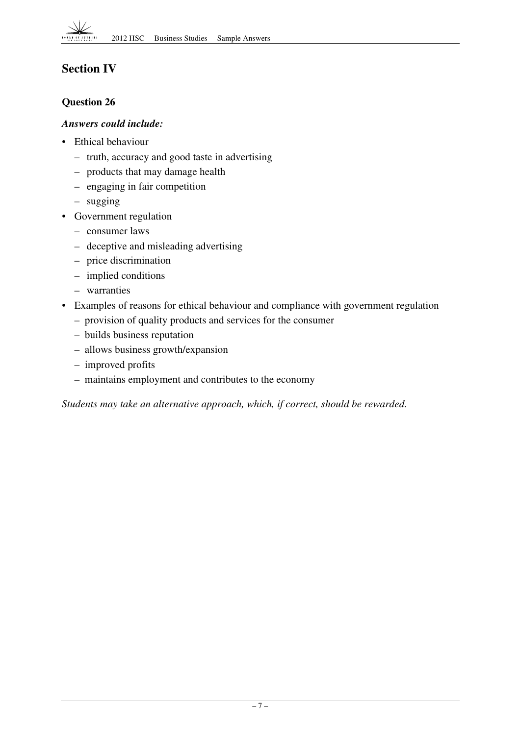## **Section IV**

## **Question 26**

## *Answers could include:*

- Ethical behaviour
	- truth, accuracy and good taste in advertising
	- products that may damage health
	- engaging in fair competition
	- sugging
- Government regulation
	- consumer laws
	- deceptive and misleading advertising
	- price discrimination
	- implied conditions
	- warranties
- Examples of reasons for ethical behaviour and compliance with government regulation
	- provision of quality products and services for the consumer
	- builds business reputation
	- allows business growth/expansion
	- improved profits
	- maintains employment and contributes to the economy

*Students may take an alternative approach, which, if correct, should be rewarded.*